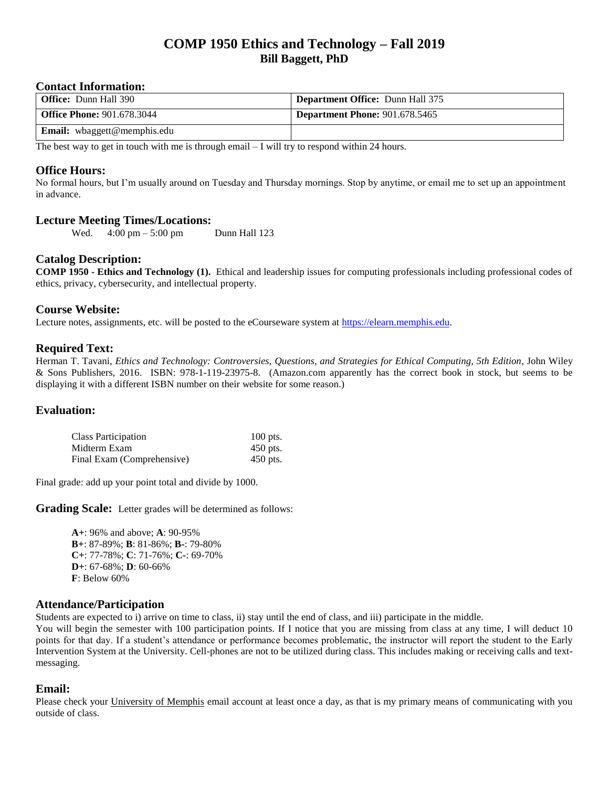# **COMP 1950 Ethics and Technology – Fall 2019 Bill Baggett, PhD**

#### **Contact Information:**

| <b>Office:</b> Dunn Hall 390       | <b>Department Office: Dunn Hall 375</b> |
|------------------------------------|-----------------------------------------|
| <b>Office Phone: 901.678.3044</b>  | Department Phone: $901.678.5465$        |
| <b>Email:</b> wbaggett@memphis.edu |                                         |

The best way to get in touch with me is through email  $-1$  will try to respond within 24 hours.

#### **Office Hours:**

No formal hours, but I'm usually around on Tuesday and Thursday mornings. Stop by anytime, or email me to set up an appointment in advance.

#### **Lecture Meeting Times/Locations:**

Wed.  $4:00 \text{ pm} - 5:00 \text{ pm}$  Dunn Hall 123

#### **Catalog Description:**

**COMP 1950 - Ethics and Technology (1).** Ethical and leadership issues for computing professionals including professional codes of ethics, privacy, cybersecurity, and intellectual property.

#### **Course Website:**

Lecture notes, assignments, etc. will be posted to the eCourseware system at [https://elearn.memphis.edu.](https://elearn.memphis.edu/)

#### **Required Text:**

Herman T. Tavani, *Ethics and Technology: Controversies, Questions, and Strategies for Ethical Computing, 5th Edition*, John Wiley & Sons Publishers, 2016. ISBN: 978-1-119-23975-8. (Amazon.com apparently has the correct book in stock, but seems to be displaying it with a different ISBN number on their website for some reason.)

#### **Evaluation:**

| <b>Class Participation</b> | $100$ pts. |
|----------------------------|------------|
| Midterm Exam               | 450 pts.   |
| Final Exam (Comprehensive) | $450$ pts. |

Final grade: add up your point total and divide by 1000.

**Grading Scale:** Letter grades will be determined as follows:

**A+**: 96% and above; **A**: 90-95% **B+**: 87-89%; **B**: 81-86%; **B-**: 79-80% **C+**: 77-78%; **C**: 71-76%; **C-**: 69-70% **D+**: 67-68%; **D**: 60-66% **F**: Below 60%

#### **Attendance/Participation**

Students are expected to i) arrive on time to class, ii) stay until the end of class, and iii) participate in the middle.

You will begin the semester with 100 participation points. If I notice that you are missing from class at any time, I will deduct 10 points for that day. If a student's attendance or performance becomes problematic, the instructor will report the student to the Early Intervention System at the University. Cell-phones are not to be utilized during class. This includes making or receiving calls and textmessaging.

#### **Email:**

Please check your University of Memphis email account at least once a day, as that is my primary means of communicating with you outside of class.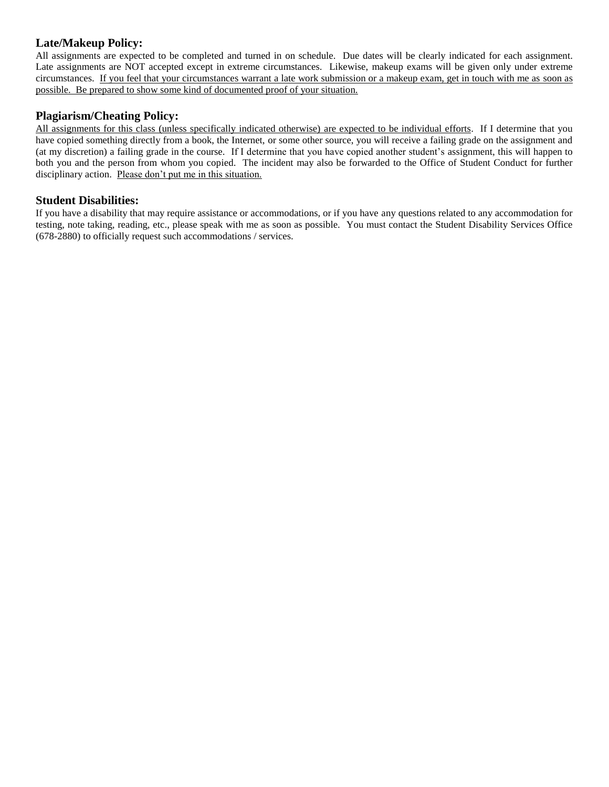## **Late/Makeup Policy:**

All assignments are expected to be completed and turned in on schedule. Due dates will be clearly indicated for each assignment. Late assignments are NOT accepted except in extreme circumstances. Likewise, makeup exams will be given only under extreme circumstances. If you feel that your circumstances warrant a late work submission or a makeup exam, get in touch with me as soon as possible. Be prepared to show some kind of documented proof of your situation.

### **Plagiarism/Cheating Policy:**

All assignments for this class (unless specifically indicated otherwise) are expected to be individual efforts. If I determine that you have copied something directly from a book, the Internet, or some other source, you will receive a failing grade on the assignment and (at my discretion) a failing grade in the course. If I determine that you have copied another student's assignment, this will happen to both you and the person from whom you copied. The incident may also be forwarded to the Office of Student Conduct for further disciplinary action. Please don't put me in this situation.

#### **Student Disabilities:**

If you have a disability that may require assistance or accommodations, or if you have any questions related to any accommodation for testing, note taking, reading, etc., please speak with me as soon as possible. You must contact the Student Disability Services Office (678-2880) to officially request such accommodations / services.